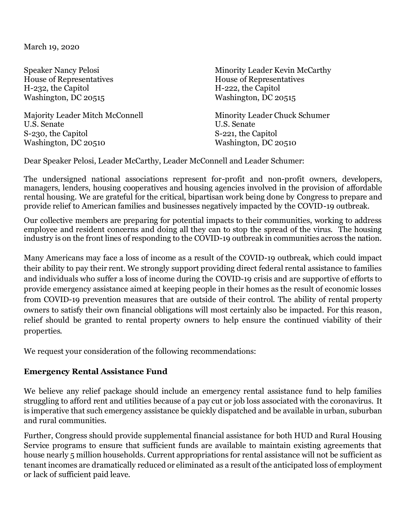March 19, 2020

House of Representatives House of Representatives H-232, the Capitol H-222, the Capitol Washington, DC 20515

Majority Leader Mitch McConnell Minority Leader Chuck Schumer U.S. Senate U.S. Senate S-230, the Capitol S-221, the Capitol Washington, DC 20510 Washington, DC 20510

Speaker Nancy Pelosi Ninority Leader Kevin McCarthy

Dear Speaker Pelosi, Leader McCarthy, Leader McConnell and Leader Schumer:

The undersigned national associations represent for-profit and non-profit owners, developers, managers, lenders, housing cooperatives and housing agencies involved in the provision of affordable rental housing. We are grateful for the critical, bipartisan work being done by Congress to prepare and provide relief to American families and businesses negatively impacted by the COVID-19 outbreak.

Our collective members are preparing for potential impacts to their communities, working to address employee and resident concerns and doing all they can to stop the spread of the virus. The housing industry is on the front lines of responding to the COVID-19 outbreak in communities across the nation.

Many Americans may face a loss of income as a result of the COVID-19 outbreak, which could impact their ability to pay their rent. We strongly support providing direct federal rental assistance to families and individuals who suffer a loss of income during the COVID-19 crisis and are supportive of efforts to provide emergency assistance aimed at keeping people in their homes as the result of economic losses from COVID-19 prevention measures that are outside of their control. The ability of rental property owners to satisfy their own financial obligations will most certainly also be impacted. For this reason, relief should be granted to rental property owners to help ensure the continued viability of their properties.

We request your consideration of the following recommendations:

## **Emergency Rental Assistance Fund**

We believe any relief package should include an emergency rental assistance fund to help families struggling to afford rent and utilities because of a pay cut or job loss associated with the coronavirus. It is imperative that such emergency assistance be quickly dispatched and be available in urban, suburban and rural communities.

Further, Congress should provide supplemental financial assistance for both HUD and Rural Housing Service programs to ensure that sufficient funds are available to maintain existing agreements that house nearly 5 million households. Current appropriations for rental assistance will not be sufficient as tenant incomes are dramatically reduced or eliminated as a result of the anticipated loss of employment or lack of sufficient paid leave.